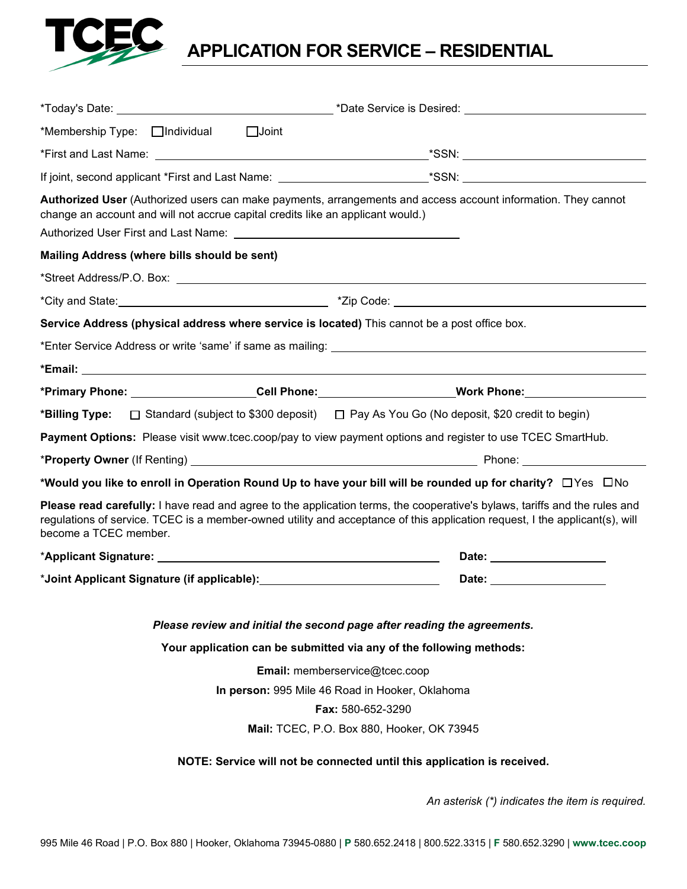

**APPLICATION FOR SERVICE – RESIDENTIAL** 

| *Membership Type: Individual Joint                                                                                                                                                                                                                                                 |                                                                                                                        |
|------------------------------------------------------------------------------------------------------------------------------------------------------------------------------------------------------------------------------------------------------------------------------------|------------------------------------------------------------------------------------------------------------------------|
|                                                                                                                                                                                                                                                                                    |                                                                                                                        |
|                                                                                                                                                                                                                                                                                    |                                                                                                                        |
| change an account and will not accrue capital credits like an applicant would.)                                                                                                                                                                                                    | Authorized User (Authorized users can make payments, arrangements and access account information. They cannot          |
| Mailing Address (where bills should be sent)                                                                                                                                                                                                                                       |                                                                                                                        |
|                                                                                                                                                                                                                                                                                    |                                                                                                                        |
|                                                                                                                                                                                                                                                                                    |                                                                                                                        |
|                                                                                                                                                                                                                                                                                    | Service Address (physical address where service is located) This cannot be a post office box.                          |
|                                                                                                                                                                                                                                                                                    |                                                                                                                        |
|                                                                                                                                                                                                                                                                                    |                                                                                                                        |
|                                                                                                                                                                                                                                                                                    | *Primary Phone: Cell Phone: Collection: Work Phone: Normal Phone:                                                      |
|                                                                                                                                                                                                                                                                                    | <b>*Billing Type:</b> □ Standard (subject to \$300 deposit) □ Pay As You Go (No deposit, \$20 credit to begin)         |
| Payment Options: Please visit www.tcec.coop/pay to view payment options and register to use TCEC SmartHub.                                                                                                                                                                         |                                                                                                                        |
|                                                                                                                                                                                                                                                                                    |                                                                                                                        |
|                                                                                                                                                                                                                                                                                    | *Would you like to enroll in Operation Round Up to have your bill will be rounded up for charity? $\Box$ Yes $\Box$ No |
| Please read carefully: I have read and agree to the application terms, the cooperative's bylaws, tariffs and the rules and<br>regulations of service. TCEC is a member-owned utility and acceptance of this application request, I the applicant(s), will<br>become a TCEC member. |                                                                                                                        |
|                                                                                                                                                                                                                                                                                    |                                                                                                                        |
|                                                                                                                                                                                                                                                                                    |                                                                                                                        |
| Please review and initial the second page after reading the agreements.                                                                                                                                                                                                            |                                                                                                                        |
|                                                                                                                                                                                                                                                                                    | Your application can be submitted via any of the following methods:                                                    |
| Email: memberservice@tcec.coop                                                                                                                                                                                                                                                     |                                                                                                                        |
| In person: 995 Mile 46 Road in Hooker, Oklahoma                                                                                                                                                                                                                                    |                                                                                                                        |
| <b>Fax: 580-652-3290</b>                                                                                                                                                                                                                                                           |                                                                                                                        |
| Mail: TCEC, P.O. Box 880, Hooker, OK 73945                                                                                                                                                                                                                                         |                                                                                                                        |
| NOTE: Service will not be connected until this application is received.                                                                                                                                                                                                            |                                                                                                                        |

*An asterisk (\*) indicates the item is required.*